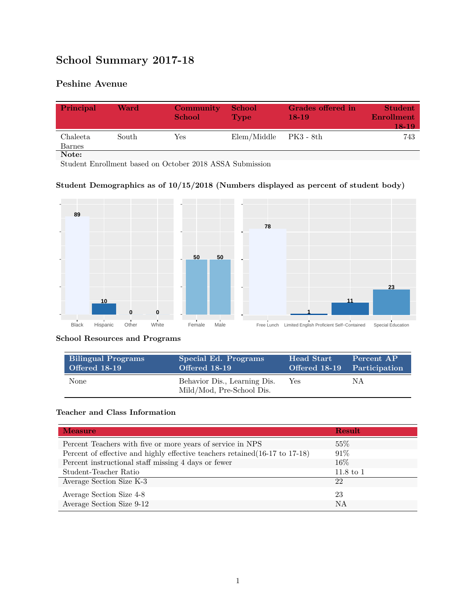# **School Summary 2017-18**

## **Peshine Avenue**

| Principal          | Ward  | Community<br><b>School</b> | <b>School</b><br><b>Type</b> | Grades offered in<br>$18-19$ | <b>Student</b><br><b>Enrollment</b><br>18-19 |
|--------------------|-------|----------------------------|------------------------------|------------------------------|----------------------------------------------|
| Chaleeta<br>Barnes | South | Yes                        | Elem/Middle                  | - PK3 - 8th                  | 743                                          |
| Note:              |       |                            |                              |                              |                                              |

Student Enrollment based on October 2018 ASSA Submission

#### **Student Demographics as of 10/15/2018 (Numbers displayed as percent of student body)**



#### **School Resources and Programs**

| <b>Bilingual Programs</b> | Special Ed. Programs                                      | <b>Head Start</b>           | Percent AP |
|---------------------------|-----------------------------------------------------------|-----------------------------|------------|
| Offered 18-19             | Offered 18-19                                             | Offered 18-19 Participation |            |
| <b>None</b>               | Behavior Dis., Learning Dis.<br>Mild/Mod, Pre-School Dis. | <b>Yes</b>                  | ΝA         |

#### **Teacher and Class Information**

| <b>Measure</b>                                                               | <b>Result</b>        |
|------------------------------------------------------------------------------|----------------------|
| Percent Teachers with five or more years of service in NPS                   | 55%                  |
| Percent of effective and highly effective teachers retained (16-17 to 17-18) | 91%                  |
| Percent instructional staff missing 4 days or fewer                          | 16\%                 |
| Student-Teacher Ratio                                                        | $11.8 \text{ to } 1$ |
| Average Section Size K-3                                                     | 22                   |
| Average Section Size 4-8                                                     | 23                   |
| Average Section Size 9-12                                                    | NA                   |